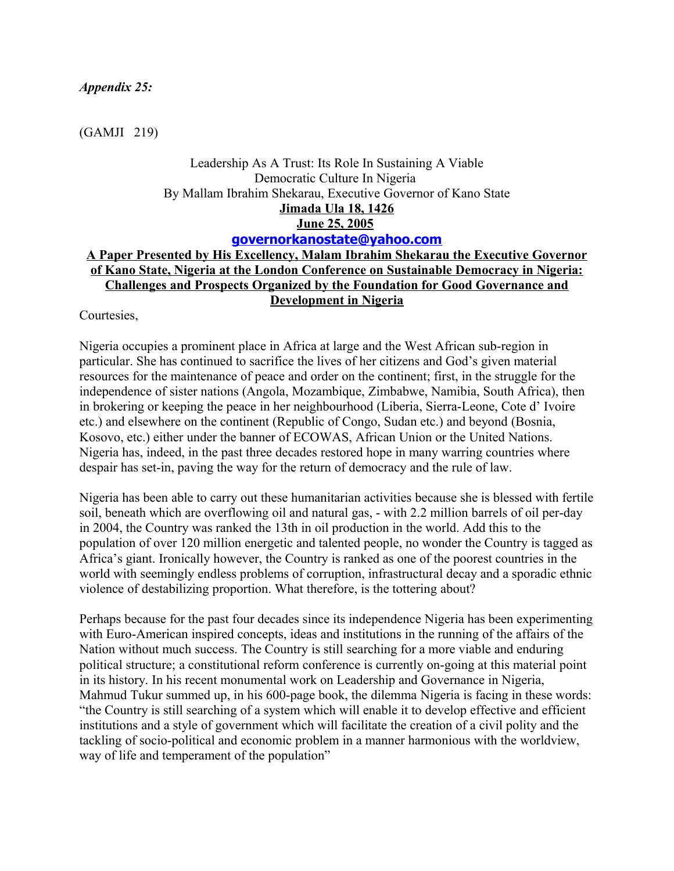#### *Appendix 25:*

(GAMJI 219)

# Leadership As A Trust: Its Role In Sustaining A Viable Democratic Culture In Nigeria By Mallam Ibrahim Shekarau, Executive Governor of Kano State **Jimada Ula 18, 1426 June 25, 2005 [governorkanostate@yahoo.com](mailto:governorkanostate@yahoo.com)**

## **A Paper Presented by His Excellency, Malam Ibrahim Shekarau the Executive Governor of Kano State, Nigeria at the London Conference on Sustainable Democracy in Nigeria: Challenges and Prospects Organized by the Foundation for Good Governance and Development in Nigeria**

Courtesies,

Nigeria occupies a prominent place in Africa at large and the West African sub-region in particular. She has continued to sacrifice the lives of her citizens and God's given material resources for the maintenance of peace and order on the continent; first, in the struggle for the independence of sister nations (Angola, Mozambique, Zimbabwe, Namibia, South Africa), then in brokering or keeping the peace in her neighbourhood (Liberia, Sierra-Leone, Cote d' Ivoire etc.) and elsewhere on the continent (Republic of Congo, Sudan etc.) and beyond (Bosnia, Kosovo, etc.) either under the banner of ECOWAS, African Union or the United Nations. Nigeria has, indeed, in the past three decades restored hope in many warring countries where despair has set-in, paving the way for the return of democracy and the rule of law.

Nigeria has been able to carry out these humanitarian activities because she is blessed with fertile soil, beneath which are overflowing oil and natural gas, - with 2.2 million barrels of oil per-day in 2004, the Country was ranked the 13th in oil production in the world. Add this to the population of over 120 million energetic and talented people, no wonder the Country is tagged as Africa's giant. Ironically however, the Country is ranked as one of the poorest countries in the world with seemingly endless problems of corruption, infrastructural decay and a sporadic ethnic violence of destabilizing proportion. What therefore, is the tottering about?

Perhaps because for the past four decades since its independence Nigeria has been experimenting with Euro-American inspired concepts, ideas and institutions in the running of the affairs of the Nation without much success. The Country is still searching for a more viable and enduring political structure; a constitutional reform conference is currently on-going at this material point in its history. In his recent monumental work on Leadership and Governance in Nigeria, Mahmud Tukur summed up, in his 600-page book, the dilemma Nigeria is facing in these words: "the Country is still searching of a system which will enable it to develop effective and efficient institutions and a style of government which will facilitate the creation of a civil polity and the tackling of socio-political and economic problem in a manner harmonious with the worldview, way of life and temperament of the population"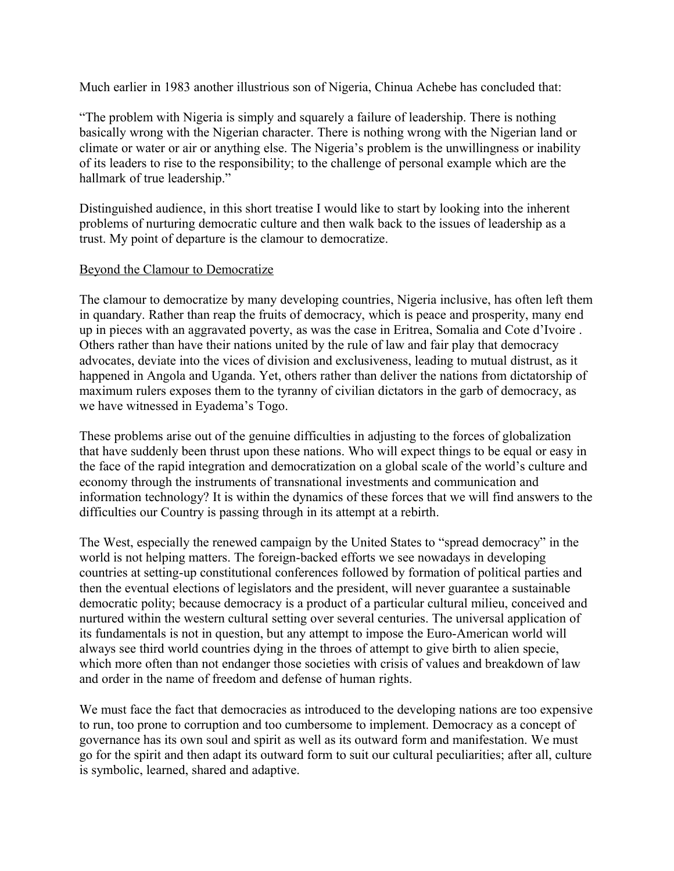Much earlier in 1983 another illustrious son of Nigeria, Chinua Achebe has concluded that:

"The problem with Nigeria is simply and squarely a failure of leadership. There is nothing basically wrong with the Nigerian character. There is nothing wrong with the Nigerian land or climate or water or air or anything else. The Nigeria's problem is the unwillingness or inability of its leaders to rise to the responsibility; to the challenge of personal example which are the hallmark of true leadership."

Distinguished audience, in this short treatise I would like to start by looking into the inherent problems of nurturing democratic culture and then walk back to the issues of leadership as a trust. My point of departure is the clamour to democratize.

## Beyond the Clamour to Democratize

The clamour to democratize by many developing countries, Nigeria inclusive, has often left them in quandary. Rather than reap the fruits of democracy, which is peace and prosperity, many end up in pieces with an aggravated poverty, as was the case in Eritrea, Somalia and Cote d'Ivoire . Others rather than have their nations united by the rule of law and fair play that democracy advocates, deviate into the vices of division and exclusiveness, leading to mutual distrust, as it happened in Angola and Uganda. Yet, others rather than deliver the nations from dictatorship of maximum rulers exposes them to the tyranny of civilian dictators in the garb of democracy, as we have witnessed in Eyadema's Togo.

These problems arise out of the genuine difficulties in adjusting to the forces of globalization that have suddenly been thrust upon these nations. Who will expect things to be equal or easy in the face of the rapid integration and democratization on a global scale of the world's culture and economy through the instruments of transnational investments and communication and information technology? It is within the dynamics of these forces that we will find answers to the difficulties our Country is passing through in its attempt at a rebirth.

The West, especially the renewed campaign by the United States to "spread democracy" in the world is not helping matters. The foreign-backed efforts we see nowadays in developing countries at setting-up constitutional conferences followed by formation of political parties and then the eventual elections of legislators and the president, will never guarantee a sustainable democratic polity; because democracy is a product of a particular cultural milieu, conceived and nurtured within the western cultural setting over several centuries. The universal application of its fundamentals is not in question, but any attempt to impose the Euro-American world will always see third world countries dying in the throes of attempt to give birth to alien specie, which more often than not endanger those societies with crisis of values and breakdown of law and order in the name of freedom and defense of human rights.

We must face the fact that democracies as introduced to the developing nations are too expensive to run, too prone to corruption and too cumbersome to implement. Democracy as a concept of governance has its own soul and spirit as well as its outward form and manifestation. We must go for the spirit and then adapt its outward form to suit our cultural peculiarities; after all, culture is symbolic, learned, shared and adaptive.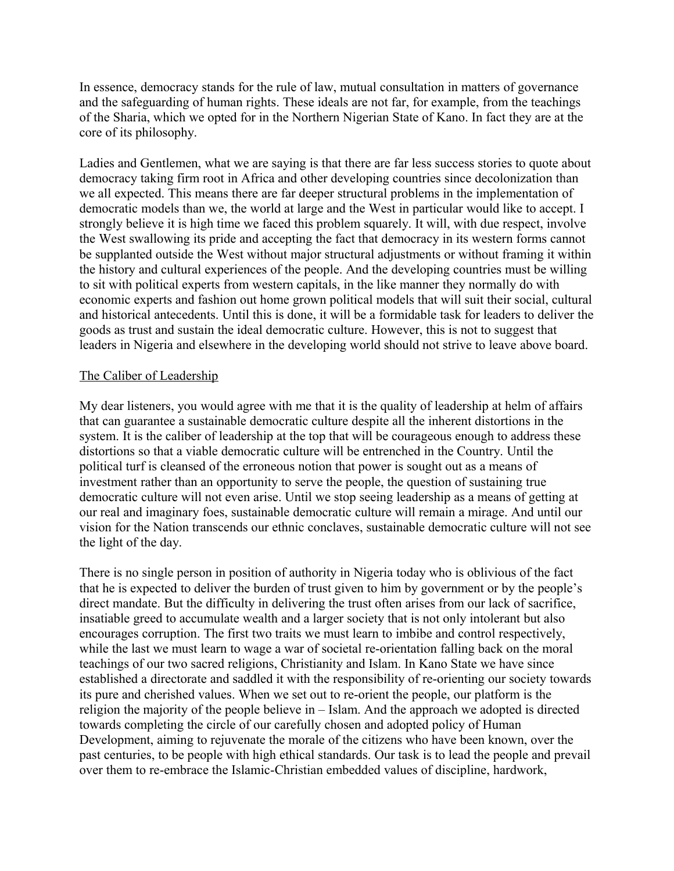In essence, democracy stands for the rule of law, mutual consultation in matters of governance and the safeguarding of human rights. These ideals are not far, for example, from the teachings of the Sharia, which we opted for in the Northern Nigerian State of Kano. In fact they are at the core of its philosophy.

Ladies and Gentlemen, what we are saying is that there are far less success stories to quote about democracy taking firm root in Africa and other developing countries since decolonization than we all expected. This means there are far deeper structural problems in the implementation of democratic models than we, the world at large and the West in particular would like to accept. I strongly believe it is high time we faced this problem squarely. It will, with due respect, involve the West swallowing its pride and accepting the fact that democracy in its western forms cannot be supplanted outside the West without major structural adjustments or without framing it within the history and cultural experiences of the people. And the developing countries must be willing to sit with political experts from western capitals, in the like manner they normally do with economic experts and fashion out home grown political models that will suit their social, cultural and historical antecedents. Until this is done, it will be a formidable task for leaders to deliver the goods as trust and sustain the ideal democratic culture. However, this is not to suggest that leaders in Nigeria and elsewhere in the developing world should not strive to leave above board.

## The Caliber of Leadership

My dear listeners, you would agree with me that it is the quality of leadership at helm of affairs that can guarantee a sustainable democratic culture despite all the inherent distortions in the system. It is the caliber of leadership at the top that will be courageous enough to address these distortions so that a viable democratic culture will be entrenched in the Country. Until the political turf is cleansed of the erroneous notion that power is sought out as a means of investment rather than an opportunity to serve the people, the question of sustaining true democratic culture will not even arise. Until we stop seeing leadership as a means of getting at our real and imaginary foes, sustainable democratic culture will remain a mirage. And until our vision for the Nation transcends our ethnic conclaves, sustainable democratic culture will not see the light of the day.

There is no single person in position of authority in Nigeria today who is oblivious of the fact that he is expected to deliver the burden of trust given to him by government or by the people's direct mandate. But the difficulty in delivering the trust often arises from our lack of sacrifice, insatiable greed to accumulate wealth and a larger society that is not only intolerant but also encourages corruption. The first two traits we must learn to imbibe and control respectively, while the last we must learn to wage a war of societal re-orientation falling back on the moral teachings of our two sacred religions, Christianity and Islam. In Kano State we have since established a directorate and saddled it with the responsibility of re-orienting our society towards its pure and cherished values. When we set out to re-orient the people, our platform is the religion the majority of the people believe in – Islam. And the approach we adopted is directed towards completing the circle of our carefully chosen and adopted policy of Human Development, aiming to rejuvenate the morale of the citizens who have been known, over the past centuries, to be people with high ethical standards. Our task is to lead the people and prevail over them to re-embrace the Islamic-Christian embedded values of discipline, hardwork,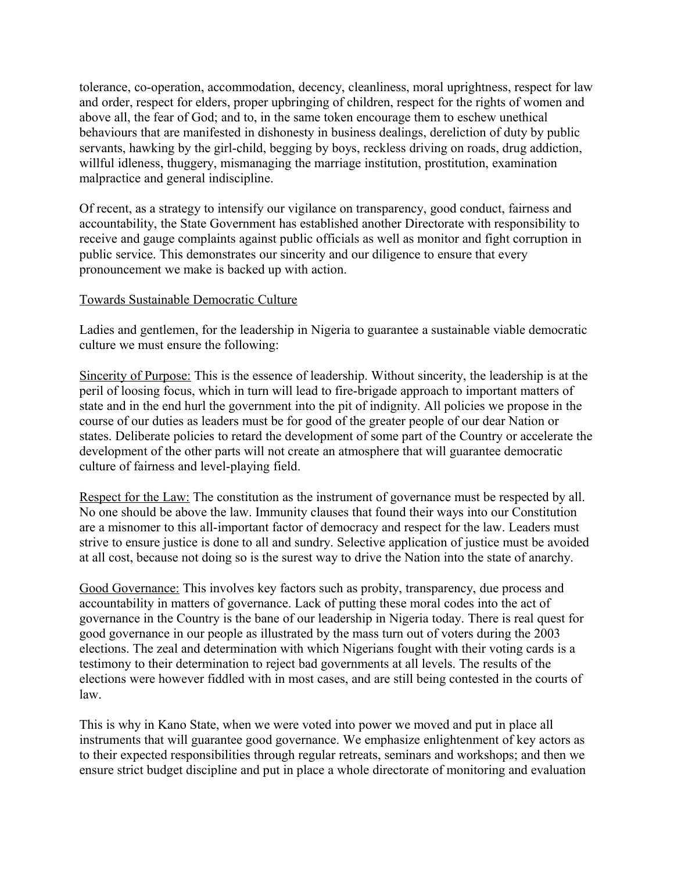tolerance, co-operation, accommodation, decency, cleanliness, moral uprightness, respect for law and order, respect for elders, proper upbringing of children, respect for the rights of women and above all, the fear of God; and to, in the same token encourage them to eschew unethical behaviours that are manifested in dishonesty in business dealings, dereliction of duty by public servants, hawking by the girl-child, begging by boys, reckless driving on roads, drug addiction, willful idleness, thuggery, mismanaging the marriage institution, prostitution, examination malpractice and general indiscipline.

Of recent, as a strategy to intensify our vigilance on transparency, good conduct, fairness and accountability, the State Government has established another Directorate with responsibility to receive and gauge complaints against public officials as well as monitor and fight corruption in public service. This demonstrates our sincerity and our diligence to ensure that every pronouncement we make is backed up with action.

## Towards Sustainable Democratic Culture

Ladies and gentlemen, for the leadership in Nigeria to guarantee a sustainable viable democratic culture we must ensure the following:

Sincerity of Purpose: This is the essence of leadership. Without sincerity, the leadership is at the peril of loosing focus, which in turn will lead to fire-brigade approach to important matters of state and in the end hurl the government into the pit of indignity. All policies we propose in the course of our duties as leaders must be for good of the greater people of our dear Nation or states. Deliberate policies to retard the development of some part of the Country or accelerate the development of the other parts will not create an atmosphere that will guarantee democratic culture of fairness and level-playing field.

Respect for the Law: The constitution as the instrument of governance must be respected by all. No one should be above the law. Immunity clauses that found their ways into our Constitution are a misnomer to this all-important factor of democracy and respect for the law. Leaders must strive to ensure justice is done to all and sundry. Selective application of justice must be avoided at all cost, because not doing so is the surest way to drive the Nation into the state of anarchy.

Good Governance: This involves key factors such as probity, transparency, due process and accountability in matters of governance. Lack of putting these moral codes into the act of governance in the Country is the bane of our leadership in Nigeria today. There is real quest for good governance in our people as illustrated by the mass turn out of voters during the 2003 elections. The zeal and determination with which Nigerians fought with their voting cards is a testimony to their determination to reject bad governments at all levels. The results of the elections were however fiddled with in most cases, and are still being contested in the courts of law.

This is why in Kano State, when we were voted into power we moved and put in place all instruments that will guarantee good governance. We emphasize enlightenment of key actors as to their expected responsibilities through regular retreats, seminars and workshops; and then we ensure strict budget discipline and put in place a whole directorate of monitoring and evaluation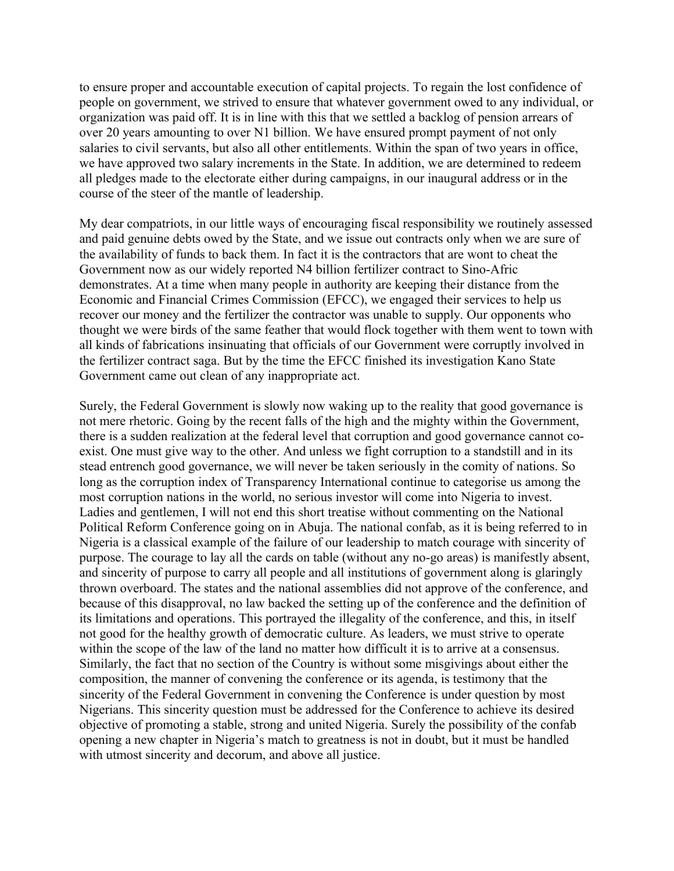to ensure proper and accountable execution of capital projects. To regain the lost confidence of people on government, we strived to ensure that whatever government owed to any individual, or organization was paid off. It is in line with this that we settled a backlog of pension arrears of over 20 years amounting to over N1 billion. We have ensured prompt payment of not only salaries to civil servants, but also all other entitlements. Within the span of two years in office, we have approved two salary increments in the State. In addition, we are determined to redeem all pledges made to the electorate either during campaigns, in our inaugural address or in the course of the steer of the mantle of leadership.

My dear compatriots, in our little ways of encouraging fiscal responsibility we routinely assessed and paid genuine debts owed by the State, and we issue out contracts only when we are sure of the availability of funds to back them. In fact it is the contractors that are wont to cheat the Government now as our widely reported N4 billion fertilizer contract to Sino-Afric demonstrates. At a time when many people in authority are keeping their distance from the Economic and Financial Crimes Commission (EFCC), we engaged their services to help us recover our money and the fertilizer the contractor was unable to supply. Our opponents who thought we were birds of the same feather that would flock together with them went to town with all kinds of fabrications insinuating that officials of our Government were corruptly involved in the fertilizer contract saga. But by the time the EFCC finished its investigation Kano State Government came out clean of any inappropriate act.

Surely, the Federal Government is slowly now waking up to the reality that good governance is not mere rhetoric. Going by the recent falls of the high and the mighty within the Government, there is a sudden realization at the federal level that corruption and good governance cannot coexist. One must give way to the other. And unless we fight corruption to a standstill and in its stead entrench good governance, we will never be taken seriously in the comity of nations. So long as the corruption index of Transparency International continue to categorise us among the most corruption nations in the world, no serious investor will come into Nigeria to invest. Ladies and gentlemen, I will not end this short treatise without commenting on the National Political Reform Conference going on in Abuja. The national confab, as it is being referred to in Nigeria is a classical example of the failure of our leadership to match courage with sincerity of purpose. The courage to lay all the cards on table (without any no-go areas) is manifestly absent, and sincerity of purpose to carry all people and all institutions of government along is glaringly thrown overboard. The states and the national assemblies did not approve of the conference, and because of this disapproval, no law backed the setting up of the conference and the definition of its limitations and operations. This portrayed the illegality of the conference, and this, in itself not good for the healthy growth of democratic culture. As leaders, we must strive to operate within the scope of the law of the land no matter how difficult it is to arrive at a consensus. Similarly, the fact that no section of the Country is without some misgivings about either the composition, the manner of convening the conference or its agenda, is testimony that the sincerity of the Federal Government in convening the Conference is under question by most Nigerians. This sincerity question must be addressed for the Conference to achieve its desired objective of promoting a stable, strong and united Nigeria. Surely the possibility of the confab opening a new chapter in Nigeria's match to greatness is not in doubt, but it must be handled with utmost sincerity and decorum, and above all justice.